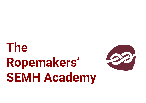# **The Ropemakers' SEMH Academy**

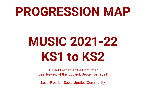## **PROGRESSION MAP**

# **MUSIC 2021-22 KS1 to KS2**

Subject Leader: To Be Confirmed Last Review of this Subject: September 2021

Love, Flourish, Social Justice, Community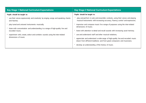| <b>Key Stage 1 National Curriculum Expectations</b>                                                                                | <b>Key Stage 2 National Curriculum Expectations</b>                                                                                                              |
|------------------------------------------------------------------------------------------------------------------------------------|------------------------------------------------------------------------------------------------------------------------------------------------------------------|
| Pupils should be taught to:                                                                                                        | Pupils should be taught to:                                                                                                                                      |
| use their voices expressively and creatively by singing songs and speaking chants<br>and rhymes;                                   | play and perform in solo and ensemble contexts, using their voices and playing<br>musical instruments with increasing accuracy, fluency, control and expression; |
| • play tuned and untuned instruments musically;<br>listen with concentration and understanding to a range of high-quality live and | improvise and compose music for a range of purposes using the inter-related<br>dimensions of music;                                                              |
| recorded music;                                                                                                                    | listen with attention to detail and recall sounds with increasing aural memory;                                                                                  |
| experiment with, create, select and combine sounds using the inter-related                                                         | use and understand staff and other musical notations;                                                                                                            |
| dimensions of music.                                                                                                               | appreciate and understand a wide range of high-quality live and recorded music<br>drawn from different traditions and from great composers and musicians;        |
|                                                                                                                                    | develop an understanding of the history of music.                                                                                                                |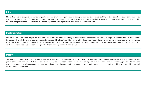## **Intent**

Music should be an enjoyable experience for pupils and teachers. Children participate in a range of musical experiences, building up their confidence at the same time. They develop their understanding of rhythm and pitch and learn how music is structured, as well as learning technical vocabulary for these elements. As children's confidence builds, they enjoy the performance aspect of music. Children experience listening to music from different cultures and eras.

## **Implementation**

Music is taught as a discrete subject but also across the curriculum. Areas of learning, such as times tables in maths, vocabulary in languages and movement in dance can all incorporate different elements of music. A weekly singing assembly allows the children opportunities to develop their singing skills and gain an understanding of how ensembles work. Performances, such as Christmas plays and nativities and end of year shows, demonstrate that music is important to the life of the school. Extracurricular activities, such as choir and peripatetic music lessons, also provide children with experience of making music.

### **Impact**

The impact of teaching music will be seen across the school with an increase in the profile of music. Whole-school and parental engagement will be improved through performances, extracurricular activities and opportunities suggested in lessons/overviews for wider learning. Participation in music develops wellbeing, promotes listening and develops concentration. We want to ensure that music is loved by teachers and pupils across school, encouraging them to want to continue building on this wealth of musical ability, now and in the future.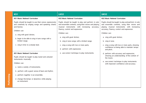|                   | KS <sub>1</sub>                                                                                                                                 | LKS <sub>2</sub>                                                                                                                                                                                  | UKS2                                                                                                                                                                                              |
|-------------------|-------------------------------------------------------------------------------------------------------------------------------------------------|---------------------------------------------------------------------------------------------------------------------------------------------------------------------------------------------------|---------------------------------------------------------------------------------------------------------------------------------------------------------------------------------------------------|
|                   | <b>KS1 Music National Curriculum</b>                                                                                                            | <b>KS2 Music National Curriculum</b>                                                                                                                                                              | <b>KS2 Music National Curriculum</b>                                                                                                                                                              |
|                   | Pupils should be taught to use their voices expressively<br>and creatively by singing songs and speaking chants<br>and rhymes.<br>Children can: | Pupils should be taught to play and perform in solo<br>and ensemble contexts, using their voices and playing<br>musical instruments with increasing accuracy,<br>fluency, control and expression. | Pupils should be taught to play and perform in solo<br>and ensemble contexts, using their voices and<br>playing musical instruments with increasing<br>accuracy, fluency, control and expression. |
|                   | a. sing with good diction;                                                                                                                      | Children can:                                                                                                                                                                                     | Children can:                                                                                                                                                                                     |
|                   | b. begin to be able to sing in tune songs with a<br>limited range;                                                                              | a. sing with good diction;<br>b. sing in tune songs with a limited range;                                                                                                                         | a. sing with good diction;<br>b. sing in tune;                                                                                                                                                    |
|                   | c. sing in time to a steady beat.                                                                                                               | c. sing a song with two or more parts;<br>d. perform with expression;                                                                                                                             | c. sing a song with two or more parts, showing<br>confidence at being able to maintain tempo<br>and pitch;                                                                                        |
|                   | <b>KS1 Music National Curriculum</b><br>Pupils should be taught to play tuned and untuned<br>instruments musically.                             | e. use correct technique to play instruments.                                                                                                                                                     | d. perform with accuracy and expression,<br>showing an understanding of the context of<br>the music;                                                                                              |
|                   | Children can:                                                                                                                                   |                                                                                                                                                                                                   | e. use correct technique to play instruments<br>with improved confidence and accuracy.                                                                                                            |
|                   | a. name a variety of instruments;                                                                                                               |                                                                                                                                                                                                   |                                                                                                                                                                                                   |
|                   | b. perform with a good sense of beat and rhythm;                                                                                                |                                                                                                                                                                                                   |                                                                                                                                                                                                   |
|                   | c. perform together in an ensemble;                                                                                                             |                                                                                                                                                                                                   |                                                                                                                                                                                                   |
| <u>Performing</u> | d. change the tempo or dynamics while playing<br>an instrument.                                                                                 |                                                                                                                                                                                                   |                                                                                                                                                                                                   |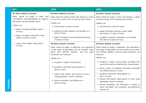| KS <sub>1</sub>                                                                                                                                                                                                                                                                                                                          | LKS <sub>2</sub>                                                                                                                                                                                                                                                                                                                                                                                                                                                                                                                                                  | UKS2                                                                                                                                                                                                                                                                                                                                                                                                                                                                                                                                                                                         |
|------------------------------------------------------------------------------------------------------------------------------------------------------------------------------------------------------------------------------------------------------------------------------------------------------------------------------------------|-------------------------------------------------------------------------------------------------------------------------------------------------------------------------------------------------------------------------------------------------------------------------------------------------------------------------------------------------------------------------------------------------------------------------------------------------------------------------------------------------------------------------------------------------------------------|----------------------------------------------------------------------------------------------------------------------------------------------------------------------------------------------------------------------------------------------------------------------------------------------------------------------------------------------------------------------------------------------------------------------------------------------------------------------------------------------------------------------------------------------------------------------------------------------|
| <b>KS1 Music National Curriculum</b>                                                                                                                                                                                                                                                                                                     | <b>KS2 Music National Curriculum</b>                                                                                                                                                                                                                                                                                                                                                                                                                                                                                                                              | <b>KS2 Music National Curriculum</b>                                                                                                                                                                                                                                                                                                                                                                                                                                                                                                                                                         |
| Pupils should be taught to listen with<br>concentration and understanding to a range of<br>high-quality live and recorded music.<br>Children can:<br>a. begin to recognise different genres<br>of music;<br>b. begin to recognise instruments being<br>played in a piece of music;<br>c. express their opinion about pieces<br>of music. | Pupils should be taught to listen with attention to detail<br>and recall sounds with increasing aural memory.<br>Children can:<br>a. find the beat in a piece of music;<br>b. explain the tempo, dynamics and duration of a<br>piece of music;<br>c. begin to recognise some orchestral instruments<br>in a piece of music.<br><b>KS2 Music National Curriculum</b><br>Pupils should be taught to appreciate and understand<br>a wide range of high-quality live and recorded music<br>drawn from different traditions and from great<br>composers and musicians. | Pupils should be taught to listen with attention to detail<br>and recall sounds with increasing aural memory.<br>Children can:<br>a. find the beat in a piece of music;<br>b. explain the tempo, dynamics, metre, timbre<br>and duration of a piece of music;<br>c. recognise orchestral instruments and describe<br>their effect in a piece of music.<br><b>KS2 Music National Curriculum</b><br>Pupils should be taught to appreciate and understand a<br>wide range of high-quality live and recorded music drawn<br>from different traditions and from great composers and<br>musicians. |
|                                                                                                                                                                                                                                                                                                                                          | Children can:<br>a. recognise a range of music genres;<br>b. recognise instruments being played in a<br>piece of music;<br>c. express their opinion about pieces of music<br>using appropriate musical vocabulary;<br>d. discuss similarities and differences in<br>pieces of music.                                                                                                                                                                                                                                                                              | Children can:<br>a. recognise a range of music genres (including from<br>around the world) and describe their characteristics;<br>b. name a variety of composers and artists associated<br>with different genres of music;<br>c. recognise instruments being played in a<br>piece of music;<br>d. express their opinion about pieces of music using<br>appropriate musical vocabulary;<br>e. discuss similarities and differences in pieces of<br>music and explain how composers and performers<br>achieve this.                                                                            |

**Listening**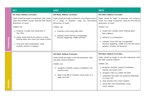|           | KS <sub>1</sub>                                                                                                                  | LKS2                                                                                                                              | UKS2                                                                                                                              |
|-----------|----------------------------------------------------------------------------------------------------------------------------------|-----------------------------------------------------------------------------------------------------------------------------------|-----------------------------------------------------------------------------------------------------------------------------------|
|           | <b>KS1 Music National Curriculum</b>                                                                                             | <b>KS2 Music National Curriculum</b>                                                                                              | <b>KS2 Music National Curriculum</b>                                                                                              |
|           | Pupils should be taught to experiment with, create,<br>select and combine sounds using the inter-related<br>dimensions of music. | Pupils should be taught to improvise and compose music<br>for a range of purposes using the inter-related<br>dimensions of music. | Pupils should be taught to improvise and compose<br>music for a range of purposes using the inter-related<br>dimensions of music. |
|           | Children can:                                                                                                                    | Children can:                                                                                                                     | Children can:                                                                                                                     |
|           | a. compose a simple tune using three or<br>four notes;                                                                           | a. compose a tune using eight notes;                                                                                              | a. create more complex tunes, thinking about<br>their audience;                                                                   |
|           | b. create sound effects for a picture or story,<br>thinking about how music can create a mood;                                   | b. compose music that has a recognisable<br>structure (beginning, middle and end).                                                | b. add lyrics to a composition;                                                                                                   |
| Composing | c. write down their compositions using<br>symbols, pictures or patterns.                                                         |                                                                                                                                   | c. compose music that has a recognisable<br>structure (beginning, middle and end) that shows<br>variation in timbre and dynamics. |
|           |                                                                                                                                  | <b>KS2 Music National Curriculum</b>                                                                                              | <b>KS2 Music National Curriculum</b>                                                                                              |
|           |                                                                                                                                  | Pupils should be taught to use and understand staff<br>and other musical notations.                                               | Pupils should be taught to use and understand staff<br>and other musical notations.                                               |
|           |                                                                                                                                  | Children can:                                                                                                                     | Children can:                                                                                                                     |
|           |                                                                                                                                  | a. recognise crotchets, quavers, semibreves and<br>crotchet rests;                                                                | a. recognise crotchets, quavers, semibreves,<br>crotchet and quaver rests;                                                        |
|           |                                                                                                                                  | b. begin to be able to recognise some notes on a<br>treble clef staff.                                                            | b. recognise notes on a treble clef staff;<br>c. understand that notes are positioned differently<br>on a bass clef;              |
|           |                                                                                                                                  |                                                                                                                                   | d. read, and play from, music notation;                                                                                           |
| Notation  |                                                                                                                                  |                                                                                                                                   | e. record their own compositions using<br>music notation.                                                                         |